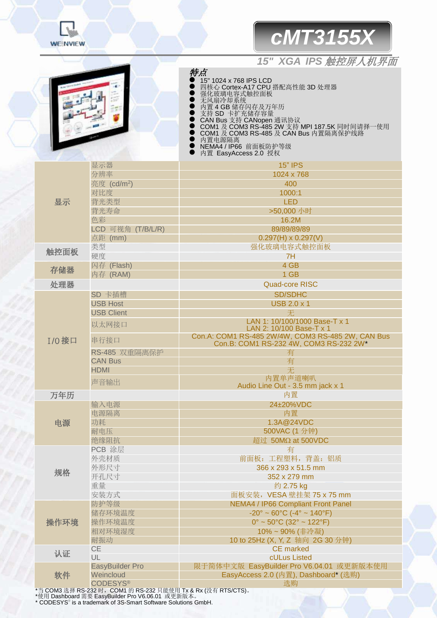

## *cMT3155X*

## *15" XGA IPS* 触控屏人机界面

特点 <sup>15</sup> 1024 x 768 IPS LCD

- 四核心 Cortex-A17 CPU 搭配高性能 3D 处理器
- 强化玻璃电容式触控面板
- 无风扇冷却系统
- 内置 4 GB 储存闪存及万年历
- 支持 SD 卡扩充储存容量
- CAN Bus 支持 CANopen 通讯协议
- COM1 及 COM3 RS-485 2W 支持 MPI 187.5K 同时间请择一使用
- COM1 及 COM3 RS-485 及 CAN Bus 内置隔离保护线路
- 内置电源隔离<br>● NEMA4 / IP66
- NEMA4 / IP66 前面板防护等级
- 内置 EasyAccess 2.0 授权

|              | 显示器                     | <b>15" IPS</b>                                                                              |  |  |
|--------------|-------------------------|---------------------------------------------------------------------------------------------|--|--|
|              | 分辨率                     | 1024 x 768                                                                                  |  |  |
|              | 亮度 (cd/m <sup>2</sup> ) | 400                                                                                         |  |  |
|              | 对比度                     | 1000:1                                                                                      |  |  |
| 显示           | 背光类型                    | <b>LED</b>                                                                                  |  |  |
|              | 背光寿命                    | >50,000 小时                                                                                  |  |  |
|              | 色彩                      | 16.2M                                                                                       |  |  |
|              | LCD 可视角 (T/B/L/R)       | 89/89/89/89                                                                                 |  |  |
|              | 点距 (mm)                 | $0.297(H) \times 0.297(V)$                                                                  |  |  |
|              | 类型                      | 强化玻璃电容式触控面板                                                                                 |  |  |
| 触控面板         | 硬度                      | 7H                                                                                          |  |  |
|              | 闪存 (Flash)              | 4 GB                                                                                        |  |  |
| 存储器          | 内存 (RAM)                | 1 GB                                                                                        |  |  |
| 处理器          |                         | <b>Quad-core RISC</b>                                                                       |  |  |
|              | SD 卡插槽                  | <b>SD/SDHC</b>                                                                              |  |  |
|              | <b>USB Host</b>         | <b>USB 2.0 x 1</b>                                                                          |  |  |
|              | <b>USB Client</b>       | 无                                                                                           |  |  |
|              | 以太网接口                   | LAN 1: 10/100/1000 Base-T x 1                                                               |  |  |
|              |                         | LAN 2: 10/100 Base-T x 1                                                                    |  |  |
| <b>I/O接口</b> | 串行接口                    | Con.A: COM1 RS-485 2W/4W, COM3 RS-485 2W, CAN Bus<br>Con.B: COM1 RS-232 4W, COM3 RS-232 2W* |  |  |
|              | RS-485 双重隔离保护           | 有                                                                                           |  |  |
|              | <b>CAN Bus</b>          | 有                                                                                           |  |  |
|              | <b>HDMI</b>             | 无                                                                                           |  |  |
|              | 声音输出                    | 内置单声道喇叭                                                                                     |  |  |
|              |                         | Audio Line Out - 3.5 mm jack x 1                                                            |  |  |
| 万年历          |                         | 内置                                                                                          |  |  |
|              | 输入电源                    | 24±20%VDC                                                                                   |  |  |
|              | 电源隔离                    | 内置                                                                                          |  |  |
| 电源           | 功耗                      | 1.3A@24VDC                                                                                  |  |  |
|              | 耐电压                     | 500VAC (1 分钟)                                                                               |  |  |
|              | 绝缘阻抗                    | 超过 50MΩ at 500VDC                                                                           |  |  |
|              | PCB 涂层                  | 有                                                                                           |  |  |
| 规格           | 外壳材质                    | 前面板: 工程塑料, 背盖: 铝质                                                                           |  |  |
|              | 外形尺寸                    | 366 x 293 x 51.5 mm                                                                         |  |  |
|              | 开孔尺寸                    | 352 x 279 mm                                                                                |  |  |
|              | 重量                      | 约 2.75 kg                                                                                   |  |  |
|              | 安装方式                    | 面板安装, VESA 壁挂架 75 x 75 mm                                                                   |  |  |
| 操作环境         | 防护等级                    | <b>NEMA4 / IP66 Compliant Front Panel</b>                                                   |  |  |
|              | 储存环境温度                  | $-20^{\circ} \sim 60^{\circ}$ C ( $-4^{\circ} \sim 140^{\circ}$ F)                          |  |  |
|              | 操作环境温度                  | $0^{\circ}$ ~ 50°C (32° ~ 122°F)                                                            |  |  |
|              | 相对环境湿度                  | 10%~90% (非冷凝)                                                                               |  |  |
|              | 耐振动                     | 10 to 25Hz (X, Y, Z 轴向 2G 30 分钟)                                                            |  |  |
| 认证           | CE                      | <b>CE</b> marked                                                                            |  |  |
|              | UL                      | cULus Listed                                                                                |  |  |
| 软件           | EasyBuilder Pro         | 限于简体中文版 EasyBuilder Pro V6.04.01 或更新版本使用                                                    |  |  |
|              | Weincloud               | EasyAccess 2.0 (内置), Dashboard* (选购)<br>选购                                                  |  |  |
|              | <b>CODESYS®</b>         |                                                                                             |  |  |

\*当 COM3 选择 RS-232 时,COM1 的 RS-232 只能使用 Tx & Rx (没有 RTS/CTS)。 \*使用 Dashboard 需要 EasyBuilder Pro V6.06.01 或更新版本。 \* CODESYS® is a trademark of 3S-Smart Software Solutions GmbH.